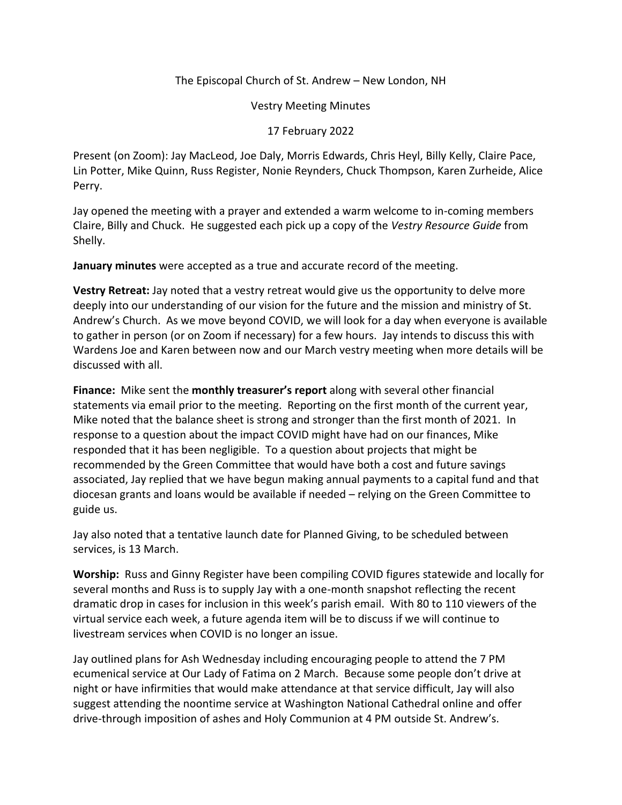## The Episcopal Church of St. Andrew – New London, NH

Vestry Meeting Minutes

17 February 2022

Present (on Zoom): Jay MacLeod, Joe Daly, Morris Edwards, Chris Heyl, Billy Kelly, Claire Pace, Lin Potter, Mike Quinn, Russ Register, Nonie Reynders, Chuck Thompson, Karen Zurheide, Alice Perry.

Jay opened the meeting with a prayer and extended a warm welcome to in-coming members Claire, Billy and Chuck. He suggested each pick up a copy of the *Vestry Resource Guide* from Shelly.

**January minutes** were accepted as a true and accurate record of the meeting.

**Vestry Retreat:** Jay noted that a vestry retreat would give us the opportunity to delve more deeply into our understanding of our vision for the future and the mission and ministry of St. Andrew's Church. As we move beyond COVID, we will look for a day when everyone is available to gather in person (or on Zoom if necessary) for a few hours. Jay intends to discuss this with Wardens Joe and Karen between now and our March vestry meeting when more details will be discussed with all.

**Finance:** Mike sent the **monthly treasurer's report** along with several other financial statements via email prior to the meeting. Reporting on the first month of the current year, Mike noted that the balance sheet is strong and stronger than the first month of 2021. In response to a question about the impact COVID might have had on our finances, Mike responded that it has been negligible. To a question about projects that might be recommended by the Green Committee that would have both a cost and future savings associated, Jay replied that we have begun making annual payments to a capital fund and that diocesan grants and loans would be available if needed – relying on the Green Committee to guide us.

Jay also noted that a tentative launch date for Planned Giving, to be scheduled between services, is 13 March.

**Worship:** Russ and Ginny Register have been compiling COVID figures statewide and locally for several months and Russ is to supply Jay with a one-month snapshot reflecting the recent dramatic drop in cases for inclusion in this week's parish email. With 80 to 110 viewers of the virtual service each week, a future agenda item will be to discuss if we will continue to livestream services when COVID is no longer an issue.

Jay outlined plans for Ash Wednesday including encouraging people to attend the 7 PM ecumenical service at Our Lady of Fatima on 2 March. Because some people don't drive at night or have infirmities that would make attendance at that service difficult, Jay will also suggest attending the noontime service at Washington National Cathedral online and offer drive-through imposition of ashes and Holy Communion at 4 PM outside St. Andrew's.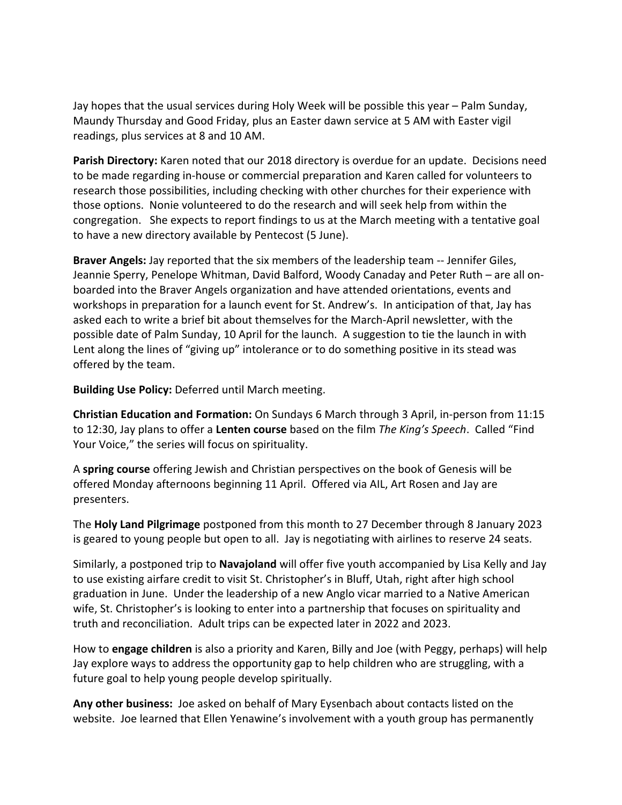Jay hopes that the usual services during Holy Week will be possible this year – Palm Sunday, Maundy Thursday and Good Friday, plus an Easter dawn service at 5 AM with Easter vigil readings, plus services at 8 and 10 AM.

**Parish Directory:** Karen noted that our 2018 directory is overdue for an update. Decisions need to be made regarding in-house or commercial preparation and Karen called for volunteers to research those possibilities, including checking with other churches for their experience with those options. Nonie volunteered to do the research and will seek help from within the congregation. She expects to report findings to us at the March meeting with a tentative goal to have a new directory available by Pentecost (5 June).

**Braver Angels:** Jay reported that the six members of the leadership team -- Jennifer Giles, Jeannie Sperry, Penelope Whitman, David Balford, Woody Canaday and Peter Ruth – are all onboarded into the Braver Angels organization and have attended orientations, events and workshops in preparation for a launch event for St. Andrew's. In anticipation of that, Jay has asked each to write a brief bit about themselves for the March-April newsletter, with the possible date of Palm Sunday, 10 April for the launch. A suggestion to tie the launch in with Lent along the lines of "giving up" intolerance or to do something positive in its stead was offered by the team.

**Building Use Policy:** Deferred until March meeting.

**Christian Education and Formation:** On Sundays 6 March through 3 April, in-person from 11:15 to 12:30, Jay plans to offer a **Lenten course** based on the film *The King's Speech*. Called "Find Your Voice," the series will focus on spirituality.

A **spring course** offering Jewish and Christian perspectives on the book of Genesis will be offered Monday afternoons beginning 11 April. Offered via AIL, Art Rosen and Jay are presenters.

The **Holy Land Pilgrimage** postponed from this month to 27 December through 8 January 2023 is geared to young people but open to all. Jay is negotiating with airlines to reserve 24 seats.

Similarly, a postponed trip to **Navajoland** will offer five youth accompanied by Lisa Kelly and Jay to use existing airfare credit to visit St. Christopher's in Bluff, Utah, right after high school graduation in June. Under the leadership of a new Anglo vicar married to a Native American wife, St. Christopher's is looking to enter into a partnership that focuses on spirituality and truth and reconciliation. Adult trips can be expected later in 2022 and 2023.

How to **engage children** is also a priority and Karen, Billy and Joe (with Peggy, perhaps) will help Jay explore ways to address the opportunity gap to help children who are struggling, with a future goal to help young people develop spiritually.

**Any other business:** Joe asked on behalf of Mary Eysenbach about contacts listed on the website. Joe learned that Ellen Yenawine's involvement with a youth group has permanently